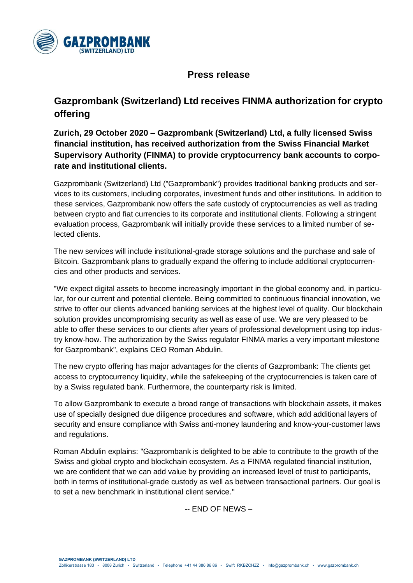

## **Press release**

## **Gazprombank (Switzerland) Ltd receives FINMA authorization for crypto offering**

**Zurich, 29 October 2020 – Gazprombank (Switzerland) Ltd, a fully licensed Swiss financial institution, has received authorization from the Swiss Financial Market Supervisory Authority (FINMA) to provide cryptocurrency bank accounts to corporate and institutional clients.**

Gazprombank (Switzerland) Ltd ("Gazprombank") provides traditional banking products and services to its customers, including corporates, investment funds and other institutions. In addition to these services, Gazprombank now offers the safe custody of cryptocurrencies as well as trading between crypto and fiat currencies to its corporate and institutional clients. Following a stringent evaluation process, Gazprombank will initially provide these services to a limited number of selected clients.

The new services will include institutional-grade storage solutions and the purchase and sale of Bitcoin. Gazprombank plans to gradually expand the offering to include additional cryptocurrencies and other products and services.

"We expect digital assets to become increasingly important in the global economy and, in particular, for our current and potential clientele. Being committed to continuous financial innovation, we strive to offer our clients advanced banking services at the highest level of quality. Our blockchain solution provides uncompromising security as well as ease of use. We are very pleased to be able to offer these services to our clients after years of professional development using top industry know-how. The authorization by the Swiss regulator FINMA marks a very important milestone for Gazprombank", explains CEO Roman Abdulin.

The new crypto offering has major advantages for the clients of Gazprombank: The clients get access to cryptocurrency liquidity, while the safekeeping of the cryptocurrencies is taken care of by a Swiss regulated bank. Furthermore, the counterparty risk is limited.

To allow Gazprombank to execute a broad range of transactions with blockchain assets, it makes use of specially designed due diligence procedures and software, which add additional layers of security and ensure compliance with Swiss anti-money laundering and know-your-customer laws and regulations.

Roman Abdulin explains: "Gazprombank is delighted to be able to contribute to the growth of the Swiss and global crypto and blockchain ecosystem. As a FINMA regulated financial institution, we are confident that we can add value by providing an increased level of trust to participants, both in terms of institutional-grade custody as well as between transactional partners. Our goal is to set a new benchmark in institutional client service."

-- END OF NEWS –